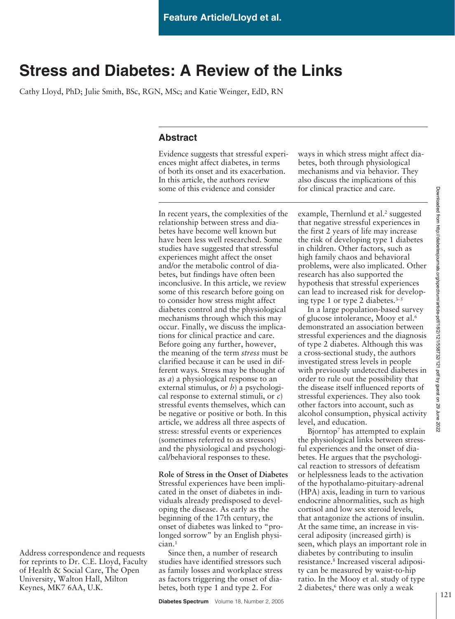# **Stress and Diabetes: A Review of the Links**

Cathy Lloyd, PhD; Julie Smith, BSc, RGN, MSc; and Katie Weinger, EdD, RN

### **Abstract**

Evidence suggests that stressful experiences might affect diabetes, in terms of both its onset and its exacerbation. In this article, the authors review some of this evidence and consider

In recent years, the complexities of the relationship between stress and diabetes have become well known but have been less well researched. Some studies have suggested that stressful experiences might affect the onset and/or the metabolic control of diabetes, but findings have often been inconclusive. In this article, we review some of this research before going on to consider how stress might affect diabetes control and the physiological mechanisms through which this may occur. Finally, we discuss the implications for clinical practice and care. Before going any further, however, the meaning of the term *stress* must be clarified because it can be used in different ways. Stress may be thought of as *a*) a physiological response to an external stimulus, or *b*) a psychological response to external stimuli, or *c*) stressful events themselves, which can be negative or positive or both. In this article, we address all three aspects of stress: stressful events or experiences (sometimes referred to as stressors) and the physiological and psychological/behavioral responses to these.

**Role of Stress in the Onset of Diabetes** Stressful experiences have been implicated in the onset of diabetes in individuals already predisposed to developing the disease. As early as the beginning of the 17th century, the onset of diabetes was linked to "prolonged sorrow" by an English physician.1

Since then, a number of research studies have identified stressors such as family losses and workplace stress as factors triggering the onset of diabetes, both type 1 and type 2. For

ways in which stress might affect diabetes, both through physiological mechanisms and via behavior. They also discuss the implications of this for clinical practice and care.

example, Thernlund et al.<sup>2</sup> suggested that negative stressful experiences in the first 2 years of life may increase the risk of developing type 1 diabetes in children. Other factors, such as high family chaos and behavioral problems, were also implicated. Other research has also supported the hypothesis that stressful experiences can lead to increased risk for developing type 1 or type 2 diabetes.3–5

In a large population-based survey of glucose intolerance, Mooy et al.<sup>6</sup> demonstrated an association between stressful experiences and the diagnosis of type 2 diabetes. Although this was a cross-sectional study, the authors investigated stress levels in people with previously undetected diabetes in order to rule out the possibility that the disease itself influenced reports of stressful experiences. They also took other factors into account, such as alcohol consumption, physical activity level, and education.

Bjorntop7 has attempted to explain the physiological links between stressful experiences and the onset of diabetes. He argues that the psychological reaction to stressors of defeatism or helplessness leads to the activation of the hypothalamo-pituitary-adrenal (HPA) axis, leading in turn to various endocrine abnormalities, such as high cortisol and low sex steroid levels, that antagonize the actions of insulin. At the same time, an increase in visceral adiposity (increased girth) is seen, which plays an important role in diabetes by contributing to insulin resistance.8 Increased visceral adiposity can be measured by waist-to-hip ratio. In the Mooy et al. study of type 2 diabetes,<sup>6</sup> there was only a weak

Address correspondence and requests for reprints to Dr. C.E. Lloyd, Faculty of Health & Social Care, The Open University, Walton Hall, Milton Keynes, MK7 6AA, U.K.

Downloaded from http://diabetesjournals.org/spectrum/article-pdf/18/2/12/1/568732/121.pdf by guest on 29 June Downloaded from http://diabetesjournals.org/spectrum/article-pdf/18/2/121/558732/121.pdf by guest on 29 June 2022

2022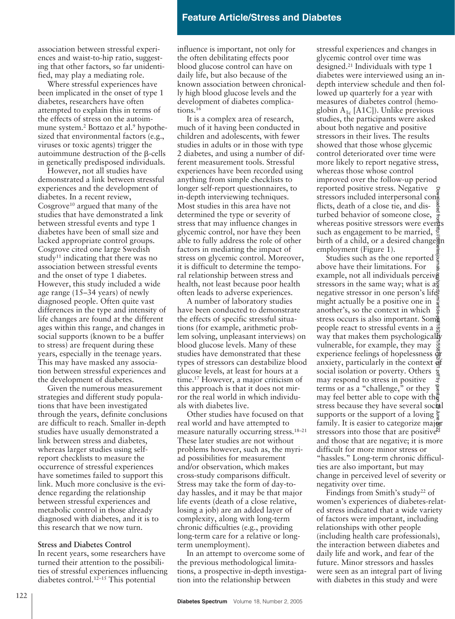association between stressful experiences and waist-to-hip ratio, suggesting that other factors, so far unidentified, may play a mediating role.

Where stressful experiences have been implicated in the onset of type 1 diabetes, researchers have often attempted to explain this in terms of the effects of stress on the autoimmune system.<sup>2</sup> Bottazo et al.<sup>9</sup> hypothesized that environmental factors (e.g., viruses or toxic agents) trigger the autoimmune destruction of the β-cells in genetically predisposed individuals.

However, not all studies have demonstrated a link between stressful experiences and the development of diabetes. In a recent review, Cosgrove10 argued that many of the studies that have demonstrated a link between stressful events and type 1 diabetes have been of small size and lacked appropriate control groups. Cosgrove cited one large Swedish study<sup>11</sup> indicating that there was no association between stressful events and the onset of type 1 diabetes. However, this study included a wide age range (15–34 years) of newly diagnosed people. Often quite vast differences in the type and intensity of life changes are found at the different ages within this range, and changes in social supports (known to be a buffer to stress) are frequent during these years, especially in the teenage years. This may have masked any association between stressful experiences and the development of diabetes.

Given the numerous measurement strategies and different study populations that have been investigated through the years, definite conclusions are difficult to reach. Smaller in-depth studies have usually demonstrated a link between stress and diabetes, whereas larger studies using selfreport checklists to measure the occurrence of stressful experiences have sometimes failed to support this link. Much more conclusive is the evidence regarding the relationship between stressful experiences and metabolic control in those already diagnosed with diabetes, and it is to this research that we now turn.

#### **Stress and Diabetes Control**

In recent years, some researchers have turned their attention to the possibilities of stressful experiences influencing diabetes control.<sup>12–15</sup> This potential

influence is important, not only for the often debilitating effects poor blood glucose control can have on daily life, but also because of the known association between chronically high blood glucose levels and the development of diabetes complications.16

It is a complex area of research, much of it having been conducted in children and adolescents, with fewer studies in adults or in those with type 2 diabetes, and using a number of different measurement tools. Stressful experiences have been recorded using anything from simple checklists to longer self-report questionnaires, to in-depth interviewing techniques. Most studies in this area have not determined the type or severity of stress that may influence changes in glycemic control, nor have they been able to fully address the role of other factors in mediating the impact of stress on glycemic control. Moreover, it is difficult to determine the temporal relationship between stress and health, not least because poor health often leads to adverse experiences.

A number of laboratory studies have been conducted to demonstrate the effects of specific stressful situations (for example, arithmetic problem solving, unpleasant interviews) on blood glucose levels. Many of these studies have demonstrated that these types of stressors can destabilize blood glucose levels, at least for hours at a time.17 However, a major criticism of this approach is that it does not mirror the real world in which individuals with diabetes live.

Other studies have focused on that real world and have attempted to measure naturally occurring stress.18–21 These later studies are not without problems however, such as, the myriad possibilities for measurement and/or observation, which makes cross-study comparisons difficult. Stress may take the form of day-today hassles, and it may be that major life events (death of a close relative, losing a job) are an added layer of complexity, along with long-term chronic difficulties (e.g., providing long-term care for a relative or longterm unemployment).

In an attempt to overcome some of the previous methodological limitations, a prospective in-depth investigation into the relationship between

stressful experiences and changes in glycemic control over time was designed.21 Individuals with type 1 diabetes were interviewed using an indepth interview schedule and then followed up quarterly for a year with measures of diabetes control (hemoglobin  $A_{1c}$  [A1C]). Unlike previous studies, the participants were asked about both negative and positive stressors in their lives. The results showed that those whose glycemic control deteriorated over time were more likely to report negative stress, whereas those whose control improved over the follow-up period reported positive stress. Negative stressors included interpersonal conflicts, death of a close tie, and disturbed behavior of someone close, whereas positive stressors were events such as engagement to be married, birth of a child, or a desired change $\frac{5}{2}$ n employment (Figure 1).

Studies such as the one reported above have their limitations. For example, not all individuals perceive stressors in the same way; what is a negative stressor in one person's life might actually be a positive one in  $\frac{3}{2}$ another's, so the context in which stress occurs is also important. Some people react to stressful events in a way that makes them psychologically vulnerable, for example, they may  $\frac{1}{99}$ experience feelings of hopelessness or anxiety, particularly in the context  $\tilde{\mathfrak{g}}$ social isolation or poverty. Others  $\frac{1}{8}$ may respond to stress in positive terms or as a "challenge," or they may feel better able to cope with the stress because they have several social supports or the support of a loving  $\frac{1}{5}$ family. It is easier to categorize major stressors into those that are positive<sup>8</sup> and those that are negative; it is more difficult for more minor stress or "hassles." Long-term chronic difficulties are also important, but may change in perceived level of severity or negativity over time. Downloaded from http://diabetesjournals.org/spectrum/article-pdf/18/2/121/558732/121.pdf by guest on 29 June 2022

Findings from Smith's study<sup>22</sup> of women's experiences of diabetes-related stress indicated that a wide variety of factors were important, including relationships with other people (including health care professionals), the interaction between diabetes and daily life and work, and fear of the future. Minor stressors and hassles were seen as an integral part of living with diabetes in this study and were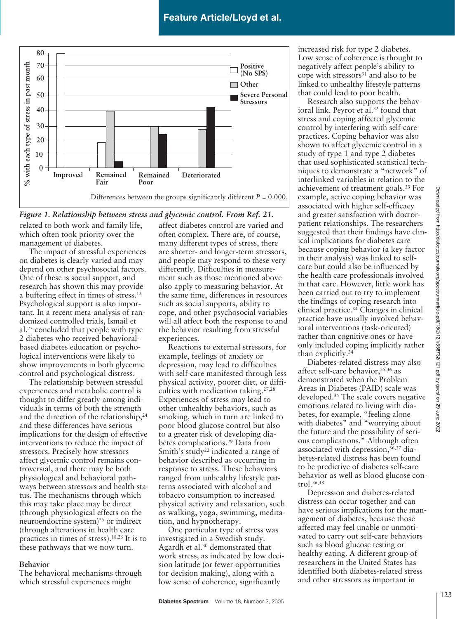

*Figure 1. Relationship between stress and glycemic control. From Ref. 21.*

related to both work and family life, which often took priority over the management of diabetes.

The impact of stressful experiences on diabetes is clearly varied and may depend on other psychosocial factors. One of these is social support, and research has shown this may provide a buffering effect in times of stress.13 Psychological support is also important. In a recent meta-analysis of randomized controlled trials, Ismail et al.23 concluded that people with type 2 diabetes who received behavioralbased diabetes education or psychological interventions were likely to show improvements in both glycemic control and psychological distress.

The relationship between stressful experiences and metabolic control is thought to differ greatly among individuals in terms of both the strength and the direction of the relationship,<sup>24</sup> and these differences have serious implications for the design of effective interventions to reduce the impact of stressors. Precisely how stressors affect glycemic control remains controversial, and there may be both physiological and behavioral pathways between stressors and health status. The mechanisms through which this may take place may be direct (through physiological effects on the neuroendocrine system)<sup>25</sup> or indirect (through alterations in health care practices in times of stress).18,26 It is to these pathways that we now turn.

#### **Behavior**

The behavioral mechanisms through which stressful experiences might

affect diabetes control are varied and often complex. There are, of course, many different types of stress, there are shorter- and longer-term stressors, and people may respond to these very differently. Difficulties in measurement such as those mentioned above also apply to measuring behavior. At the same time, differences in resources such as social supports, ability to cope, and other psychosocial variables will all affect both the response to and the behavior resulting from stressful experiences.

Reactions to external stressors, for example, feelings of anxiety or depression, may lead to difficulties with self-care manifested through less physical activity, poorer diet, or difficulties with medication taking.27,28 Experiences of stress may lead to other unhealthy behaviors, such as smoking, which in turn are linked to poor blood glucose control but also to a greater risk of developing diabetes complications.29 Data from Smith's study<sup>22</sup> indicated a range of behavior described as occurring in response to stress. These behaviors ranged from unhealthy lifestyle patterns associated with alcohol and tobacco consumption to increased physical activity and relaxation, such as walking, yoga, swimming, meditation, and hypnotherapy.

One particular type of stress was investigated in a Swedish study. Agardh et al.30 demonstrated that work stress, as indicated by low decision latitude (or fewer opportunities for decision making), along with a low sense of coherence, significantly

increased risk for type 2 diabetes. Low sense of coherence is thought to negatively affect people's ability to cope with stressors<sup>31</sup> and also to be linked to unhealthy lifestyle patterns that could lead to poor health.

Research also supports the behavioral link. Peyrot et al.32 found that stress and coping affected glycemic control by interfering with self-care practices. Coping behavior was also shown to affect glycemic control in a study of type 1 and type 2 diabetes that used sophisticated statistical techniques to demonstrate a "network" of interlinked variables in relation to the achievement of treatment goals.33 For example, active coping behavior was associated with higher self-efficacy and greater satisfaction with doctorpatient relationships. The researchers suggested that their findings have clinical implications for diabetes care because coping behavior (a key factor in their analysis) was linked to selfcare but could also be influenced by the health care professionals involved in that care. However, little work has been carried out to try to implement the findings of coping research into clinical practice.34 Changes in clinical practice have usually involved behavioral interventions (task-oriented) rather than cognitive ones or have only included coping implicitly rather than explicitly.34

Diabetes-related distress may also affect self-care behavior, 35,36 as demonstrated when the Problem Areas in Diabetes (PAID) scale was developed.35 The scale covers negative emotions related to living with diabetes, for example, "feeling alone with diabetes" and "worrying about the future and the possibility of serious complications." Although often associated with depression,  $36,37$  diabetes-related distress has been found to be predictive of diabetes self-care behavior as well as blood glucose control.36,38

Depression and diabetes-related distress can occur together and can have serious implications for the management of diabetes, because those affected may feel unable or unmotivated to carry out self-care behaviors such as blood glucose testing or healthy eating. A different group of researchers in the United States has identified both diabetes-related stress and other stressors as important in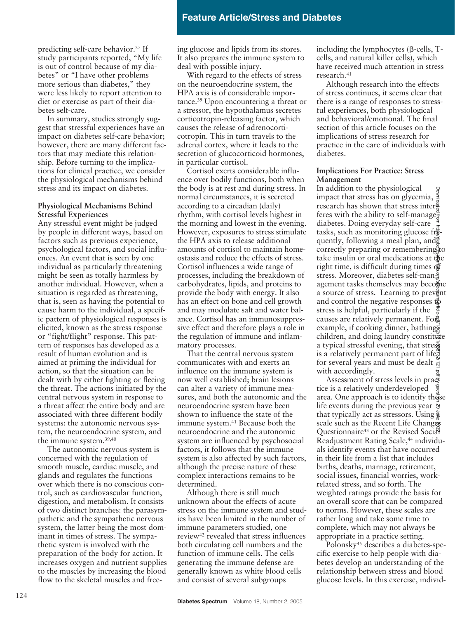predicting self-care behavior.27 If study participants reported, "My life is out of control because of my diabetes" or "I have other problems more serious than diabetes," they were less likely to report attention to diet or exercise as part of their diabetes self-care.

In summary, studies strongly suggest that stressful experiences have an impact on diabetes self-care behavior; however, there are many different factors that may mediate this relationship. Before turning to the implications for clinical practice, we consider the physiological mechanisms behind stress and its impact on diabetes.

#### **Physiological Mechanisms Behind Stressful Experiences**

Any stressful event might be judged by people in different ways, based on factors such as previous experience, psychological factors, and social influences. An event that is seen by one individual as particularly threatening might be seen as totally harmless by another individual. However, when a situation is regarded as threatening, that is, seen as having the potential to cause harm to the individual, a specific pattern of physiological responses is elicited, known as the stress response or "fight/flight" response. This pattern of responses has developed as a result of human evolution and is aimed at priming the individual for action, so that the situation can be dealt with by either fighting or fleeing the threat. The actions initiated by the central nervous system in response to a threat affect the entire body and are associated with three different bodily systems: the autonomic nervous system, the neuroendocrine system, and the immune system.39,40

The autonomic nervous system is concerned with the regulation of smooth muscle, cardiac muscle, and glands and regulates the functions over which there is no conscious control, such as cardiovascular function, digestion, and metabolism. It consists of two distinct branches: the parasympathetic and the sympathetic nervous system, the latter being the most dominant in times of stress. The sympathetic system is involved with the preparation of the body for action. It increases oxygen and nutrient supplies to the muscles by increasing the blood flow to the skeletal muscles and freeing glucose and lipids from its stores. It also prepares the immune system to deal with possible injury.

With regard to the effects of stress on the neuroendocrine system, the HPA axis is of considerable importance.39 Upon encountering a threat or a stressor, the hypothalamus secretes corticotropin-releasing factor, which causes the release of adrenocorticotropin. This in turn travels to the adrenal cortex, where it leads to the secretion of glucocorticoid hormones, in particular cortisol.

Cortisol exerts considerable influence over bodily functions, both when the body is at rest and during stress. In normal circumstances, it is secreted according to a circadian (daily) rhythm, with cortisol levels highest in the morning and lowest in the evening. However, exposures to stress stimulate the HPA axis to release additional amounts of cortisol to maintain homeostasis and reduce the effects of stress. Cortisol influences a wide range of processes, including the breakdown of carbohydrates, lipids, and proteins to provide the body with energy. It also has an effect on bone and cell growth and may modulate salt and water balance. Cortisol has an immunosuppressive effect and therefore plays a role in the regulation of immune and inflammatory processes.

That the central nervous system communicates with and exerts an influence on the immune system is now well established; brain lesions can alter a variety of immune measures, and both the autonomic and the neuroendocrine system have been shown to influence the state of the immune system.41 Because both the neuroendocrine and the autonomic system are influenced by psychosocial factors, it follows that the immune system is also affected by such factors, although the precise nature of these complex interactions remains to be determined.

Although there is still much unknown about the effects of acute stress on the immune system and studies have been limited in the number of immune parameters studied, one review42 revealed that stress influences both circulating cell numbers and the function of immune cells. The cells generating the immune defense are generally known as white blood cells and consist of several subgroups

including the lymphocytes ( $\beta$ -cells, Tcells, and natural killer cells), which have received much attention in stress research.<sup>41</sup>

Although research into the effects of stress continues, it seems clear that there is a range of responses to stressful experiences, both physiological and behavioral/emotional. The final section of this article focuses on the implications of stress research for practice in the care of individuals with diabetes.

#### **Implications For Practice: Stress Management**

In addition to the physiological impact that stress has on glycemia, research has shown that stress inter $\frac{2}{3}$ feres with the ability to self-manage diabetes. Doing everyday self-care tasks, such as monitoring glucose frequently, following a meal plan, and correctly preparing or remembering to take insulin or oral medications at the right time, is difficult during times  $\vec{d}$ stress. Moreover, diabetes self-management tasks themselves may become a source of stress. Learning to prevent and control the negative responses  $\vec{\omega}$ stress is helpful, particularly if the  $\frac{2}{9}$ causes are relatively permanent. For example, if cooking dinner, bathing children, and doing laundry constitute a typical stressful evening, that stress is a relatively permanent part of life for several years and must be dealt with accordingly. Downloaded from http://diabetesjournals.org/spectrum/article-pdf/18/2/121/558732/121.pdf by guest on 29 June 2022

Assessment of stress levels in pracetice is a relatively underdeveloped area. One approach is to identify these life events during the previous year  $\mathcal{B}$ that typically act as stressors. Using  $\frac{1}{2}$ scale such as the Recent Life Changes Questionnaire<sup>43</sup> or the Revised Social Readjustment Rating Scale,<sup>44</sup> individuals identify events that have occurred in their life from a list that includes births, deaths, marriage, retirement, social issues, financial worries, workrelated stress, and so forth. The weighted ratings provide the basis for an overall score that can be compared to norms. However, these scales are rather long and take some time to complete, which may not always be appropriate in a practice setting.

Polonsky45 describes a diabetes-specific exercise to help people with diabetes develop an understanding of the relationship between stress and blood glucose levels. In this exercise, individ-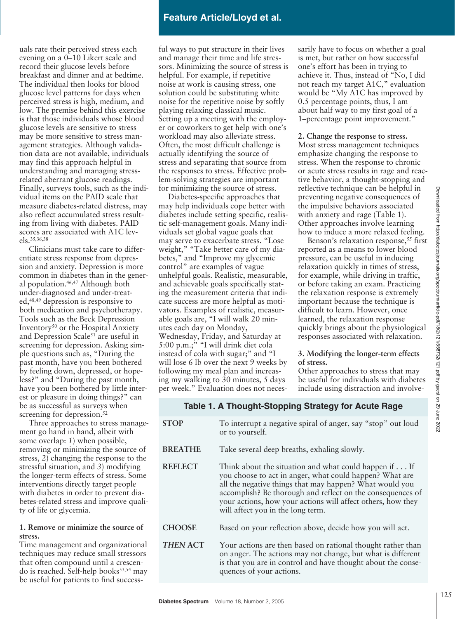uals rate their perceived stress each evening on a 0–10 Likert scale and record their glucose levels before breakfast and dinner and at bedtime. The individual then looks for blood glucose level patterns for days when perceived stress is high, medium, and low. The premise behind this exercise is that those individuals whose blood glucose levels are sensitive to stress may be more sensitive to stress management strategies. Although validation data are not available, individuals may find this approach helpful in understanding and managing stressrelated aberrant glucose readings. Finally, surveys tools, such as the individual items on the PAID scale that measure diabetes-related distress, may also reflect accumulated stress resulting from living with diabetes. PAID scores are associated with A1C levels.35,36,38

Clinicians must take care to differentiate stress response from depression and anxiety. Depression is more common in diabetes than in the general population.46,47 Although both under-diagnosed and under-treated,48,49 depression is responsive to both medication and psychotherapy. Tools such as the Beck Depression Inventory50 or the Hospital Anxiety and Depression Scale51 are useful in screening for depression. Asking simple questions such as, "During the past month, have you been bothered by feeling down, depressed, or hopeless?" and "During the past month, have you been bothered by little interest or pleasure in doing things?" can be as successful as surveys when screening for depression.<sup>52</sup>

Three approaches to stress management go hand in hand, albeit with some overlap: *1*) when possible, removing or minimizing the source of stress, *2*) changing the response to the stressful situation, and *3*) modifying the longer-term effects of stress. Some interventions directly target people with diabetes in order to prevent diabetes-related stress and improve quality of life or glycemia.

#### **1. Remove or minimize the source of stress.**

Time management and organizational techniques may reduce small stressors that often compound until a crescendo is reached. Self-help books $53,54$  may be useful for patients to find successful ways to put structure in their lives and manage their time and life stressors. Minimizing the source of stress is helpful. For example, if repetitive noise at work is causing stress, one solution could be substituting white noise for the repetitive noise by softly playing relaxing classical music. Setting up a meeting with the employer or coworkers to get help with one's workload may also alleviate stress. Often, the most difficult challenge is actually identifying the source of stress and separating that source from the responses to stress. Effective problem-solving strategies are important for minimizing the source of stress.

Diabetes-specific approaches that may help individuals cope better with diabetes include setting specific, realistic self-management goals. Many individuals set global vague goals that may serve to exacerbate stress. "Lose weight," "Take better care of my diabetes," and "Improve my glycemic control" are examples of vague unhelpful goals. Realistic, measurable, and achievable goals specifically stating the measurement criteria that indicate success are more helpful as motivators. Examples of realistic, measurable goals are, "I will walk 20 minutes each day on Monday, Wednesday, Friday, and Saturday at 5:00 p.m.;" "I will drink diet cola instead of cola with sugar;" and "I will lose 6 lb over the next 9 weeks by following my meal plan and increasing my walking to 30 minutes, 5 days per week." Evaluation does not necessarily have to focus on whether a goal is met, but rather on how successful one's effort has been in trying to achieve it. Thus, instead of "No, I did not reach my target A1C," evaluation would be "My A1C has improved by 0.5 percentage points, thus, I am about half way to my first goal of a 1–percentage point improvement."

# **2. Change the response to stress.**

Most stress management techniques emphasize changing the response to stress. When the response to chronic or acute stress results in rage and reactive behavior, a thought-stopping and reflective technique can be helpful in preventing negative consequences of the impulsive behaviors associated with anxiety and rage (Table 1). Other approaches involve learning how to induce a more relaxed feeling.

Benson's relaxation response,<sup>55</sup> first reported as a means to lower blood pressure, can be useful in inducing relaxation quickly in times of stress, for example, while driving in traffic, or before taking an exam. Practicing the relaxation response is extremely important because the technique is difficult to learn. However, once learned, the relaxation response quickly brings about the physiological responses associated with relaxation.

#### **3. Modifying the longer-term effects of stress.**

Other approaches to stress that may be useful for individuals with diabetes include using distraction and involve-

# **Table 1. A Thought-Stopping Strategy for Acute Rage**

**STOP** To interrupt a negative spiral of anger, say "stop" out loud or to yourself. **BREATHE** Take several deep breaths, exhaling slowly. **REFLECT** Think about the situation and what could happen if . . . If you choose to act in anger, what could happen? What are all the negative things that may happen? What would you accomplish? Be thorough and reflect on the consequences of your actions, how your actions will affect others, how they will affect you in the long term. **CHOOSE** Based on your reflection above, decide how you will act. *THEN* **ACT** Your actions are then based on rational thought rather than on anger. The actions may not change, but what is different is that you are in control and have thought about the consequences of your actions.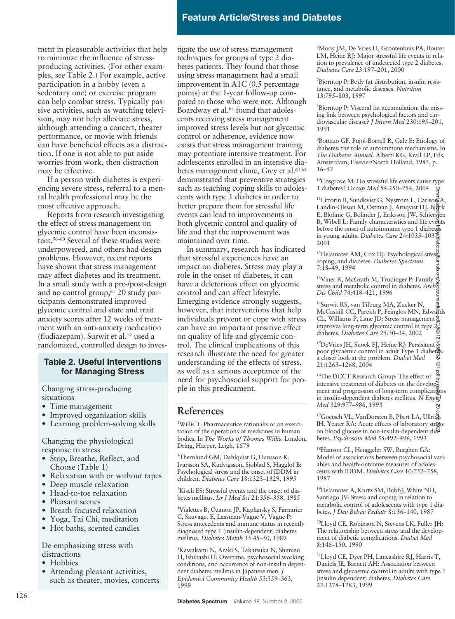ment in pleasurable activities that help to minimize the influence of stressproducing activities. (For other examples, see Table 2.) For example, active participation in a hobby (even a sedentary one) or exercise program can help combat stress. Typically passive activities, such as watching television, may not help alleviate stress, although attending a concert, theater performance, or movie with friends can have beneficial effects as a distraction. If one is not able to put aside worries from work, then distraction may be effective.

If a person with diabetes is experiencing severe stress, referral to a mental health professional may be the most effective approach.

Reports from research investigating the effect of stress management on glycemic control have been inconsistent.56–60 Several of these studies were underpowered, and others had design problems. However, recent reports have shown that stress management may affect diabetes and its treatment. In a small study with a pre-/post-design and no control group, $61$  20 study participants demonstrated improved glycemic control and state and trait anxiety scores after 12 weeks of treatment with an anti-anxiety medication (fludiazepam). Surwit et al.14 used a randomized, controlled design to inves-

# **Table 2. Useful Interventions for Managing Stress**

Changing stress-producing situations

- Time management
- Improved organization skills
- Learning problem-solving skills

Changing the physiological response to stress

- Stop, Breathe, Reflect, and Choose (Table 1)
- Relaxation with or without tapes
- Deep muscle relaxation
- Head-to-toe relaxation
- Pleasant scenes
- Breath-focused relaxation
- Yoga, Tai Chi, meditation
- Hot baths, scented candles

De-emphasizing stress with distractions

- Hobbies
- Attending pleasant activities, such as theater, movies, concerts

tigate the use of stress management techniques for groups of type 2 diabetes patients. They found that those using stress management had a small improvement in A1C (0.5 percentage points) at the 1-year follow-up compared to those who were not. Although Boardway et al.<sup>62</sup> found that adolescents receiving stress management improved stress levels but not glycemic control or adherence, evidence now exists that stress management training may potentiate intensive treatment. For adolescents enrolled in an intensive diabetes management clinic, Grey et al.63,64 demonstrated that preventive strategies such as teaching coping skills to adolescents with type 1 diabetes in order to better prepare them for stressful life events can lead to improvements in both glycemic control and quality of life and that the improvement was maintained over time.

In summary, research has indicated that stressful experiences have an impact on diabetes. Stress may play a role in the onset of diabetes, it can have a deleterious effect on glycemic control and can affect lifestyle. Emerging evidence strongly suggests, however, that interventions that help individuals prevent or cope with stress can have an important positive effect on quality of life and glycemic control. The clinical implications of this research illustrate the need for greater understanding of the effects of stress, as well as a serious acceptance of the need for psychosocial support for people in this predicament.

# **References**

1 Willis T: Pharmaceutice rationalis or an exercitation of the operations of medicines in human bodies. In *The Works of Thomas Willis*. London, Dring, Harper, Leigh, 1679

2 Thernlund GM, Dahlquist G, Hansson K, Ivarsson SA, Kudvigsson, Sjoblad S, Hagglof B: Psychological stress and the onset of IDDM in children. *Diabetes Care* 18:1323–1329, 1995

3 Kisch ES: Stressful events and the onset of diabetes mellitus. *Isr J Med Sci* 21:356–358, 1985

4 Vialettes B, Ozanon JP, Kaplansky S, Farnarier C, Sauvaget E, Lassman-Vague V, Vague P: Stress antecedents and immune status in recently diagnosed type 1 (insulin-dependent) diabetes mellitus. *Diabetes Metab* 15:45–50, 1989

5 Kawakami N, Araki S, Takatsuka N, Shimizu H, Ishibashi H: Overtime, psychosocial working conditions, and occurrence of non-insulin dependent diabetes mellitus in Japanese men. *J Epidemiol Community Health* 53:359–363, 1999

6 Mooy JM, De Vries H, Grootenhuis PA, Bouter LM, Heine RJ: Major stressful life events in relation to prevalence of undetected type 2 diabetes. *Diabetes Care* 23:197–201, 2000

7 Bjorntop P: Body fat distribution, insulin resistance, and metabolic diseases. *Nutrition* 13:795–803, 1997

8 Bjorntop P: Visceral fat accumulation: the missing link between psychological factors and cardiovascular disease? *J Intern Med* 230:195–201, 1991

9 Bottazo GF, Pujol-Borrell R, Gale E: Etiology of diabetes: the role of autoimmune mechanisms. In *The Diabetes Annual*. Alberti KG, Krall LP, Eds. Amsterdam, Elsevier/North Holland, 1985, p. 16–52

 $10$ Cosgrove M: Do stressful life events cause type 1 diabetes? *Occup Med* 54:250–254, 2004

<sup>11</sup>Littorin B, Sundkvist G, Nystrom L, Carlson  $\overline{A}$ , Landin-Olsson M, Ostman J, Arnqvist HJ, Bjerk E, Blohme G, Bolinder J, Eriksson JW, Schiersten B, Wibell L: Family characteristics and life events before the onset of autoimmune type 1 diabetes in young adults. *Diabetes Care* 24:1033–1037, 2001 Downloaded from http://diabetesiournals.org/spectrum/article-pdf/18/2/121/558732/121.pdf by guest on 2022<br>Downloaded from 2021

<sup>12</sup>Delamater AM, Cox DJ: Psychological stress, coping, and diabetes. *Diabetes Spectrum* 7:18–49, 1994

13Viner R, McGrath M, Trudinger P: Family stress and metabolic control in diabetes. *Arch Dis Child* 74:418–421, 1996

<sup>14</sup>Surwit RS, van Tilburg MA, Zucker N,  $\frac{a}{d}$ <br>McCaskill CC, Parekh P, Feinglos MN, Edwards McCaskill CC, Parekh P, Feinglos MN, Edwa<del>r</del>ds CL, Williams P, Lane JD: Stress management improves long-term glycemic control in type 2 diabetes. *Diabetes Care* 25:30–34, 2002

15DeVries JH, Snoek FJ, Heine RJ: Persisitent poor glycaemic control in adult Type 1 diabetes: a closer look at the problem. *Diabet Med* 21:1263–1268, 2004

<sup>16</sup>The DCCT Research Group: The effect of intensive treatment of diabetes on the development and progression of long-term complications in insulin-dependent diabetes mellitus. *N Engl Med* 329:977–986, 1993

17Goetsch VL, VanDorsten B, Pbert LA, Ullrich IH, Yeater RA: Acute effects of laboratory str&s on blood glucose in non-insulin-dependent diabetes. *Psychosom Med* 55:492–496, 1993

18Hanson CL, Henggeler SW, Burghen GA: Model of associations between psychosocial variables and health-outcome measures of adolescents with IDDM. *Diabetes Care* 10:752–758, 1987

19Delamater A, Kurtz SM, BubbJ, White NH, Santiago JV: Stress and coping in relation to metabolic control of adolescents with type 1 diabetes. *J Dev Behav Pediatr* 8:136–140, 1987

20Lloyd CE, Robinson N, Stevens LK, Fuller JH: The relationship between stress and the development of diabetic complications. *Diabet Med* 8:146–150, 1990

21Lloyd CE, Dyer PH, Lancashire RJ, Harris T, Daniels JE, Barnett AH: Association between stress and glycaemic control in adults with type 1 (insulin dependent) diabetes. *Diabetes Care* 22:1278–1283, 1999